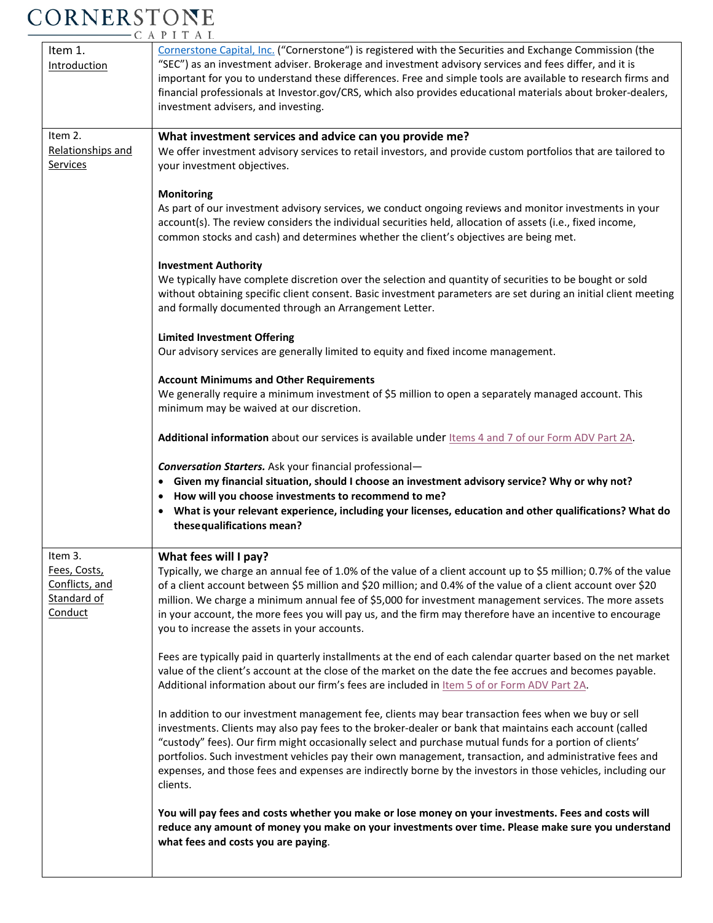## CORNERSTONE

|                                                                     | CAPIIAL                                                                                                                                                                                                                                                                                                                                                                                                                                                                                                                                                          |
|---------------------------------------------------------------------|------------------------------------------------------------------------------------------------------------------------------------------------------------------------------------------------------------------------------------------------------------------------------------------------------------------------------------------------------------------------------------------------------------------------------------------------------------------------------------------------------------------------------------------------------------------|
| Item 1.<br><b>Introduction</b>                                      | Cornerstone Capital, Inc. ("Cornerstone") is registered with the Securities and Exchange Commission (the<br>"SEC") as an investment adviser. Brokerage and investment advisory services and fees differ, and it is<br>important for you to understand these differences. Free and simple tools are available to research firms and<br>financial professionals at Investor.gov/CRS, which also provides educational materials about broker-dealers,<br>investment advisers, and investing.                                                                        |
| Item 2.<br>Relationships and<br><u>Services</u>                     | What investment services and advice can you provide me?<br>We offer investment advisory services to retail investors, and provide custom portfolios that are tailored to<br>your investment objectives.                                                                                                                                                                                                                                                                                                                                                          |
|                                                                     | <b>Monitoring</b><br>As part of our investment advisory services, we conduct ongoing reviews and monitor investments in your<br>account(s). The review considers the individual securities held, allocation of assets (i.e., fixed income,<br>common stocks and cash) and determines whether the client's objectives are being met.                                                                                                                                                                                                                              |
|                                                                     | <b>Investment Authority</b><br>We typically have complete discretion over the selection and quantity of securities to be bought or sold<br>without obtaining specific client consent. Basic investment parameters are set during an initial client meeting<br>and formally documented through an Arrangement Letter.                                                                                                                                                                                                                                             |
|                                                                     | <b>Limited Investment Offering</b><br>Our advisory services are generally limited to equity and fixed income management.                                                                                                                                                                                                                                                                                                                                                                                                                                         |
|                                                                     | <b>Account Minimums and Other Requirements</b><br>We generally require a minimum investment of \$5 million to open a separately managed account. This<br>minimum may be waived at our discretion.                                                                                                                                                                                                                                                                                                                                                                |
|                                                                     | Additional information about our services is available under Items 4 and 7 of our Form ADV Part 2A.                                                                                                                                                                                                                                                                                                                                                                                                                                                              |
|                                                                     | <b>Conversation Starters.</b> Ask your financial professional-<br>Given my financial situation, should I choose an investment advisory service? Why or why not?<br>• How will you choose investments to recommend to me?<br>What is your relevant experience, including your licenses, education and other qualifications? What do<br>٠<br>these qualifications mean?                                                                                                                                                                                            |
| Item 3.<br>Fees, Costs,<br>Conflicts, and<br>Standard of<br>Conduct | What fees will I pay?<br>Typically, we charge an annual fee of 1.0% of the value of a client account up to \$5 million; 0.7% of the value<br>of a client account between \$5 million and \$20 million; and 0.4% of the value of a client account over \$20<br>million. We charge a minimum annual fee of \$5,000 for investment management services. The more assets<br>in your account, the more fees you will pay us, and the firm may therefore have an incentive to encourage<br>you to increase the assets in your accounts.                                |
|                                                                     | Fees are typically paid in quarterly installments at the end of each calendar quarter based on the net market<br>value of the client's account at the close of the market on the date the fee accrues and becomes payable.<br>Additional information about our firm's fees are included in Item 5 of or Form ADV Part 2A.                                                                                                                                                                                                                                        |
|                                                                     | In addition to our investment management fee, clients may bear transaction fees when we buy or sell<br>investments. Clients may also pay fees to the broker-dealer or bank that maintains each account (called<br>"custody" fees). Our firm might occasionally select and purchase mutual funds for a portion of clients'<br>portfolios. Such investment vehicles pay their own management, transaction, and administrative fees and<br>expenses, and those fees and expenses are indirectly borne by the investors in those vehicles, including our<br>clients. |
|                                                                     | You will pay fees and costs whether you make or lose money on your investments. Fees and costs will<br>reduce any amount of money you make on your investments over time. Please make sure you understand<br>what fees and costs you are paying.                                                                                                                                                                                                                                                                                                                 |